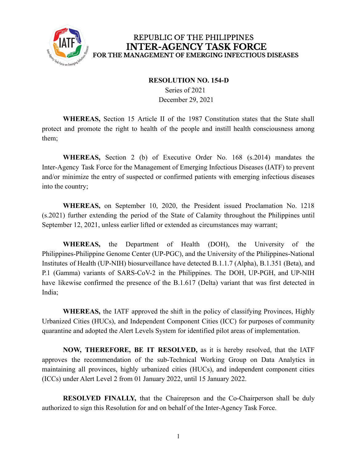

## REPUBLIC OF THE PHILIPPINES **INTER-AGENCY TASK FORCE** FOR THE MANAGEMENT OF EMERGING INFECTIOUS DISEASES

## **RESOLUTION NO. 154-D**

Series of 2021 December 29, 2021

**WHEREAS,** Section 15 Article II of the 1987 Constitution states that the State shall protect and promote the right to health of the people and instill health consciousness among them;

**WHEREAS,** Section 2 (b) of Executive Order No. 168 (s.2014) mandates the Inter-Agency Task Force for the Management of Emerging Infectious Diseases (IATF) to prevent and/or minimize the entry of suspected or confirmed patients with emerging infectious diseases into the country;

**WHEREAS,** on September 10, 2020, the President issued Proclamation No. 1218 (s.2021) further extending the period of the State of Calamity throughout the Philippines until September 12, 2021, unless earlier lifted or extended as circumstances may warrant;

**WHEREAS,** the Department of Health (DOH), the University of the Philippines-Philippine Genome Center (UP-PGC), and the University of the Philippines-National Institutes of Health (UP-NIH) biosurveillance have detected B.1.1.7 (Alpha), B.1.351 (Beta), and P.1 (Gamma) variants of SARS-CoV-2 in the Philippines. The DOH, UP-PGH, and UP-NIH have likewise confirmed the presence of the B.1.617 (Delta) variant that was first detected in India;

**WHEREAS,** the IATF approved the shift in the policy of classifying Provinces, Highly Urbanized Cities (HUCs), and Independent Component Cities (ICC) for purposes of community quarantine and adopted the Alert Levels System for identified pilot areas of implementation.

**NOW, THEREFORE, BE IT RESOLVED,** as it is hereby resolved, that the IATF approves the recommendation of the sub-Technical Working Group on Data Analytics in maintaining all provinces, highly urbanized cities (HUCs), and independent component cities (ICCs) under Alert Level 2 from 01 January 2022, until 15 January 2022.

**RESOLVED FINALLY,** that the Chaireprson and the Co-Chairperson shall be duly authorized to sign this Resolution for and on behalf of the Inter-Agency Task Force.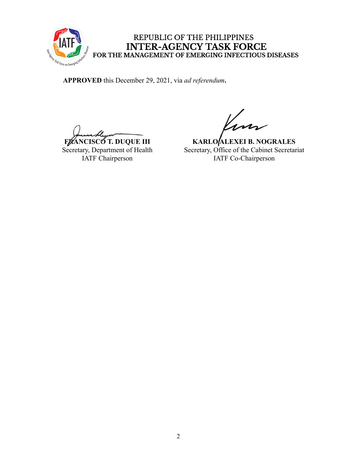

## REPUBLIC OF THE PHILIPPINES INTER-AGENCY TASK FORCE<br>FOR THE MANAGEMENT OF EMERGING INFECTIOUS DISEASES

**APPROVED** this December 29, 2021, via *ad referendum***.**

**FRANCISCO T. DUQUE III** Secretary, Department of Health IATF Chairperson

**KARLO ALEXEI B. NOGRALES** Secretary, Office of the Cabinet Secretariat IATF Co-Chairperson